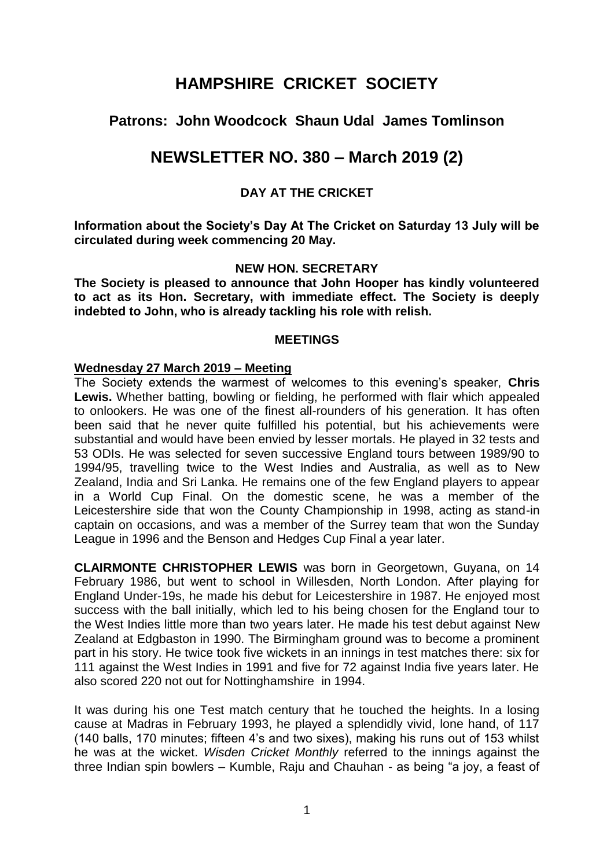# **HAMPSHIRE CRICKET SOCIETY**

# **Patrons: John Woodcock Shaun Udal James Tomlinson**

# **NEWSLETTER NO. 380 – March 2019 (2)**

## **DAY AT THE CRICKET**

**Information about the Society's Day At The Cricket on Saturday 13 July will be circulated during week commencing 20 May.** 

## **NEW HON. SECRETARY**

**The Society is pleased to announce that John Hooper has kindly volunteered to act as its Hon. Secretary, with immediate effect. The Society is deeply indebted to John, who is already tackling his role with relish.** 

#### **MEETINGS**

#### **Wednesday 27 March 2019 – Meeting**

The Society extends the warmest of welcomes to this evening's speaker, **Chris Lewis.** Whether batting, bowling or fielding, he performed with flair which appealed to onlookers. He was one of the finest all-rounders of his generation. It has often been said that he never quite fulfilled his potential, but his achievements were substantial and would have been envied by lesser mortals. He played in 32 tests and 53 ODIs. He was selected for seven successive England tours between 1989/90 to 1994/95, travelling twice to the West Indies and Australia, as well as to New Zealand, India and Sri Lanka. He remains one of the few England players to appear in a World Cup Final. On the domestic scene, he was a member of the Leicestershire side that won the County Championship in 1998, acting as stand-in captain on occasions, and was a member of the Surrey team that won the Sunday League in 1996 and the Benson and Hedges Cup Final a year later.

**CLAIRMONTE CHRISTOPHER LEWIS** was born in Georgetown, Guyana, on 14 February 1986, but went to school in Willesden, North London. After playing for England Under-19s, he made his debut for Leicestershire in 1987. He enjoyed most success with the ball initially, which led to his being chosen for the England tour to the West Indies little more than two years later. He made his test debut against New Zealand at Edgbaston in 1990. The Birmingham ground was to become a prominent part in his story. He twice took five wickets in an innings in test matches there: six for 111 against the West Indies in 1991 and five for 72 against India five years later. He also scored 220 not out for Nottinghamshire in 1994.

It was during his one Test match century that he touched the heights. In a losing cause at Madras in February 1993, he played a splendidly vivid, lone hand, of 117 (140 balls, 170 minutes; fifteen 4's and two sixes), making his runs out of 153 whilst he was at the wicket. *Wisden Cricket Monthly* referred to the innings against the three Indian spin bowlers – Kumble, Raju and Chauhan - as being "a joy, a feast of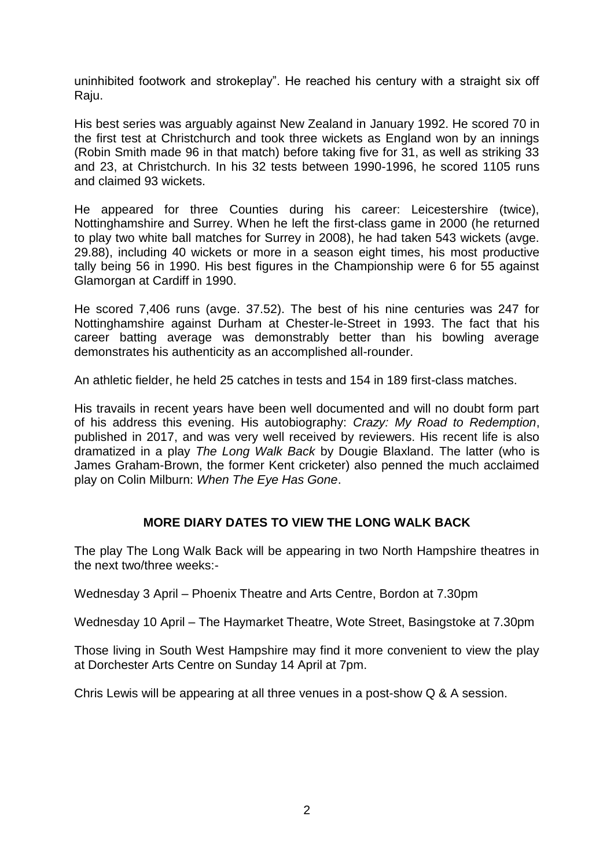uninhibited footwork and strokeplay". He reached his century with a straight six off Raju.

His best series was arguably against New Zealand in January 1992. He scored 70 in the first test at Christchurch and took three wickets as England won by an innings (Robin Smith made 96 in that match) before taking five for 31, as well as striking 33 and 23, at Christchurch. In his 32 tests between 1990-1996, he scored 1105 runs and claimed 93 wickets.

He appeared for three Counties during his career: Leicestershire (twice), Nottinghamshire and Surrey. When he left the first-class game in 2000 (he returned to play two white ball matches for Surrey in 2008), he had taken 543 wickets (avge. 29.88), including 40 wickets or more in a season eight times, his most productive tally being 56 in 1990. His best figures in the Championship were 6 for 55 against Glamorgan at Cardiff in 1990.

He scored 7,406 runs (avge. 37.52). The best of his nine centuries was 247 for Nottinghamshire against Durham at Chester-le-Street in 1993. The fact that his career batting average was demonstrably better than his bowling average demonstrates his authenticity as an accomplished all-rounder.

An athletic fielder, he held 25 catches in tests and 154 in 189 first-class matches.

His travails in recent years have been well documented and will no doubt form part of his address this evening. His autobiography: *Crazy: My Road to Redemption*, published in 2017, and was very well received by reviewers. His recent life is also dramatized in a play *The Long Walk Back* by Dougie Blaxland. The latter (who is James Graham-Brown, the former Kent cricketer) also penned the much acclaimed play on Colin Milburn: *When The Eye Has Gone*.

## **MORE DIARY DATES TO VIEW THE LONG WALK BACK**

The play The Long Walk Back will be appearing in two North Hampshire theatres in the next two/three weeks:-

Wednesday 3 April – Phoenix Theatre and Arts Centre, Bordon at 7.30pm

Wednesday 10 April – The Haymarket Theatre, Wote Street, Basingstoke at 7.30pm

Those living in South West Hampshire may find it more convenient to view the play at Dorchester Arts Centre on Sunday 14 April at 7pm.

Chris Lewis will be appearing at all three venues in a post-show Q & A session.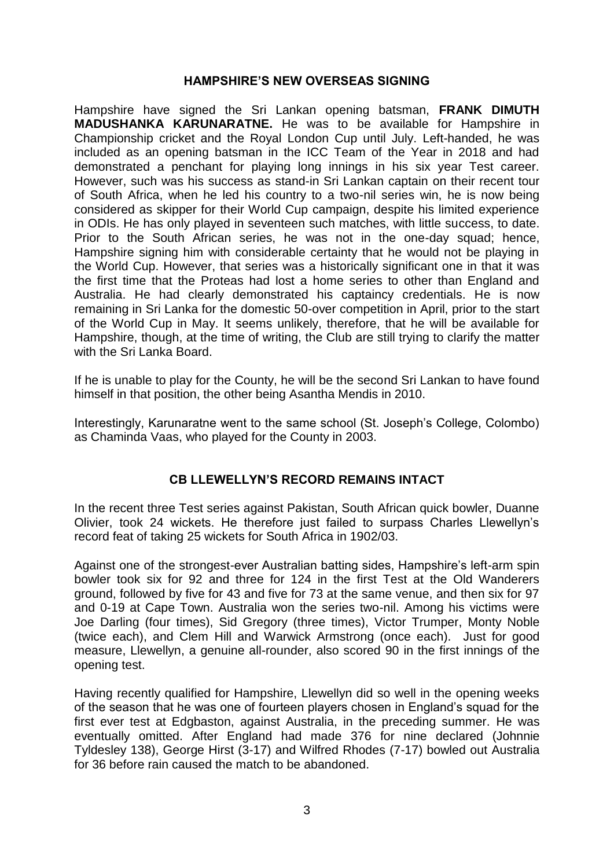#### **HAMPSHIRE'S NEW OVERSEAS SIGNING**

Hampshire have signed the Sri Lankan opening batsman, **FRANK DIMUTH MADUSHANKA KARUNARATNE.** He was to be available for Hampshire in Championship cricket and the Royal London Cup until July. Left-handed, he was included as an opening batsman in the ICC Team of the Year in 2018 and had demonstrated a penchant for playing long innings in his six year Test career. However, such was his success as stand-in Sri Lankan captain on their recent tour of South Africa, when he led his country to a two-nil series win, he is now being considered as skipper for their World Cup campaign, despite his limited experience in ODIs. He has only played in seventeen such matches, with little success, to date. Prior to the South African series, he was not in the one-day squad; hence, Hampshire signing him with considerable certainty that he would not be playing in the World Cup. However, that series was a historically significant one in that it was the first time that the Proteas had lost a home series to other than England and Australia. He had clearly demonstrated his captaincy credentials. He is now remaining in Sri Lanka for the domestic 50-over competition in April, prior to the start of the World Cup in May. It seems unlikely, therefore, that he will be available for Hampshire, though, at the time of writing, the Club are still trying to clarify the matter with the Sri Lanka Board.

If he is unable to play for the County, he will be the second Sri Lankan to have found himself in that position, the other being Asantha Mendis in 2010.

Interestingly, Karunaratne went to the same school (St. Joseph's College, Colombo) as Chaminda Vaas, who played for the County in 2003.

## **CB LLEWELLYN'S RECORD REMAINS INTACT**

In the recent three Test series against Pakistan, South African quick bowler, Duanne Olivier, took 24 wickets. He therefore just failed to surpass Charles Llewellyn's record feat of taking 25 wickets for South Africa in 1902/03.

Against one of the strongest-ever Australian batting sides, Hampshire's left-arm spin bowler took six for 92 and three for 124 in the first Test at the Old Wanderers ground, followed by five for 43 and five for 73 at the same venue, and then six for 97 and 0-19 at Cape Town. Australia won the series two-nil. Among his victims were Joe Darling (four times), Sid Gregory (three times), Victor Trumper, Monty Noble (twice each), and Clem Hill and Warwick Armstrong (once each). Just for good measure, Llewellyn, a genuine all-rounder, also scored 90 in the first innings of the opening test.

Having recently qualified for Hampshire, Llewellyn did so well in the opening weeks of the season that he was one of fourteen players chosen in England's squad for the first ever test at Edgbaston, against Australia, in the preceding summer. He was eventually omitted. After England had made 376 for nine declared (Johnnie Tyldesley 138), George Hirst (3-17) and Wilfred Rhodes (7-17) bowled out Australia for 36 before rain caused the match to be abandoned.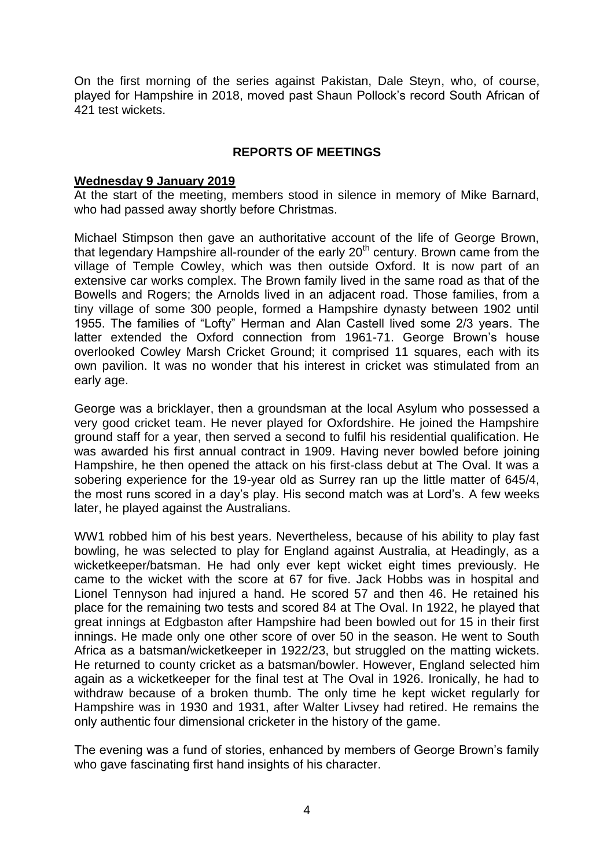On the first morning of the series against Pakistan, Dale Steyn, who, of course, played for Hampshire in 2018, moved past Shaun Pollock's record South African of 421 test wickets.

## **REPORTS OF MEETINGS**

#### **Wednesday 9 January 2019**

At the start of the meeting, members stood in silence in memory of Mike Barnard, who had passed away shortly before Christmas.

Michael Stimpson then gave an authoritative account of the life of George Brown, that legendary Hampshire all-rounder of the early  $20<sup>th</sup>$  century. Brown came from the village of Temple Cowley, which was then outside Oxford. It is now part of an extensive car works complex. The Brown family lived in the same road as that of the Bowells and Rogers; the Arnolds lived in an adjacent road. Those families, from a tiny village of some 300 people, formed a Hampshire dynasty between 1902 until 1955. The families of "Lofty" Herman and Alan Castell lived some 2/3 years. The latter extended the Oxford connection from 1961-71. George Brown's house overlooked Cowley Marsh Cricket Ground; it comprised 11 squares, each with its own pavilion. It was no wonder that his interest in cricket was stimulated from an early age.

George was a bricklayer, then a groundsman at the local Asylum who possessed a very good cricket team. He never played for Oxfordshire. He joined the Hampshire ground staff for a year, then served a second to fulfil his residential qualification. He was awarded his first annual contract in 1909. Having never bowled before joining Hampshire, he then opened the attack on his first-class debut at The Oval. It was a sobering experience for the 19-year old as Surrey ran up the little matter of 645/4, the most runs scored in a day's play. His second match was at Lord's. A few weeks later, he played against the Australians.

WW1 robbed him of his best years. Nevertheless, because of his ability to play fast bowling, he was selected to play for England against Australia, at Headingly, as a wicketkeeper/batsman. He had only ever kept wicket eight times previously. He came to the wicket with the score at 67 for five. Jack Hobbs was in hospital and Lionel Tennyson had injured a hand. He scored 57 and then 46. He retained his place for the remaining two tests and scored 84 at The Oval. In 1922, he played that great innings at Edgbaston after Hampshire had been bowled out for 15 in their first innings. He made only one other score of over 50 in the season. He went to South Africa as a batsman/wicketkeeper in 1922/23, but struggled on the matting wickets. He returned to county cricket as a batsman/bowler. However, England selected him again as a wicketkeeper for the final test at The Oval in 1926. Ironically, he had to withdraw because of a broken thumb. The only time he kept wicket regularly for Hampshire was in 1930 and 1931, after Walter Livsey had retired. He remains the only authentic four dimensional cricketer in the history of the game.

The evening was a fund of stories, enhanced by members of George Brown's family who gave fascinating first hand insights of his character.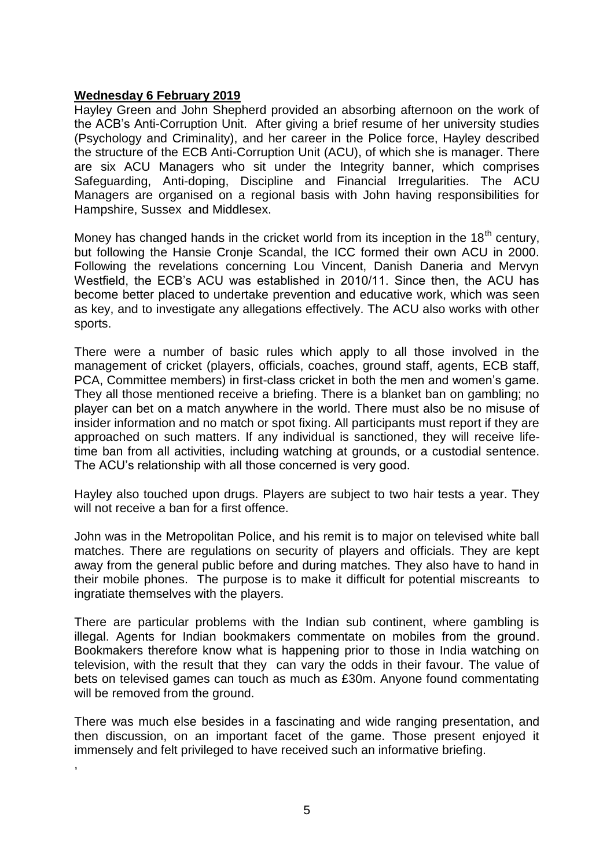## **Wednesday 6 February 2019**

,

Hayley Green and John Shepherd provided an absorbing afternoon on the work of the ACB's Anti-Corruption Unit. After giving a brief resume of her university studies (Psychology and Criminality), and her career in the Police force, Hayley described the structure of the ECB Anti-Corruption Unit (ACU), of which she is manager. There are six ACU Managers who sit under the Integrity banner, which comprises Safeguarding, Anti-doping, Discipline and Financial Irregularities. The ACU Managers are organised on a regional basis with John having responsibilities for Hampshire, Sussex and Middlesex.

Money has changed hands in the cricket world from its inception in the  $18<sup>th</sup>$  century, but following the Hansie Cronje Scandal, the ICC formed their own ACU in 2000. Following the revelations concerning Lou Vincent, Danish Daneria and Mervyn Westfield, the ECB's ACU was established in 2010/11. Since then, the ACU has become better placed to undertake prevention and educative work, which was seen as key, and to investigate any allegations effectively. The ACU also works with other sports.

There were a number of basic rules which apply to all those involved in the management of cricket (players, officials, coaches, ground staff, agents, ECB staff, PCA, Committee members) in first-class cricket in both the men and women's game. They all those mentioned receive a briefing. There is a blanket ban on gambling; no player can bet on a match anywhere in the world. There must also be no misuse of insider information and no match or spot fixing. All participants must report if they are approached on such matters. If any individual is sanctioned, they will receive lifetime ban from all activities, including watching at grounds, or a custodial sentence. The ACU's relationship with all those concerned is very good.

Hayley also touched upon drugs. Players are subject to two hair tests a year. They will not receive a ban for a first offence.

John was in the Metropolitan Police, and his remit is to major on televised white ball matches. There are regulations on security of players and officials. They are kept away from the general public before and during matches. They also have to hand in their mobile phones. The purpose is to make it difficult for potential miscreants to ingratiate themselves with the players.

There are particular problems with the Indian sub continent, where gambling is illegal. Agents for Indian bookmakers commentate on mobiles from the ground. Bookmakers therefore know what is happening prior to those in India watching on television, with the result that they can vary the odds in their favour. The value of bets on televised games can touch as much as £30m. Anyone found commentating will be removed from the ground.

There was much else besides in a fascinating and wide ranging presentation, and then discussion, on an important facet of the game. Those present enjoyed it immensely and felt privileged to have received such an informative briefing.